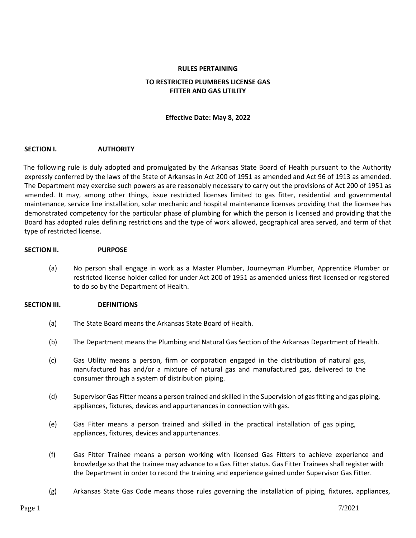# **RULES PERTAINING**

## **TO RESTRICTED PLUMBERS LICENSE GAS FITTER AND GAS UTILITY**

## **Effective Date: May 8, 2022**

## **SECTION I. AUTHORITY**

The following rule is duly adopted and promulgated by the Arkansas State Board of Health pursuant to the Authority expressly conferred by the laws of the State of Arkansas in Act 200 of 1951 as amended and Act 96 of 1913 as amended. The Department may exercise such powers as are reasonably necessary to carry out the provisions of Act 200 of 1951 as amended. It may, among other things, issue restricted licenses limited to gas fitter, residential and governmental maintenance, service line installation, solar mechanic and hospital maintenance licenses providing that the licensee has demonstrated competency for the particular phase of plumbing for which the person is licensed and providing that the Board has adopted rules defining restrictions and the type of work allowed, geographical area served, and term of that type of restricted license.

## **SECTION II. PURPOSE**

(a) No person shall engage in work as a Master Plumber, Journeyman Plumber, Apprentice Plumber or restricted license holder called for under Act 200 of 1951 as amended unless first licensed or registered to do so by the Department of Health.

## **SECTION III. DEFINITIONS**

- (a) The State Board means the Arkansas State Board of Health.
- (b) The Department means the Plumbing and Natural Gas Section of the Arkansas Department of Health.
- (c) Gas Utility means a person, firm or corporation engaged in the distribution of natural gas, manufactured has and/or a mixture of natural gas and manufactured gas, delivered to the consumer through a system of distribution piping.
- (d) Supervisor Gas Fitter means a person trained and skilled in the Supervision of gas fitting and gas piping, appliances, fixtures, devices and appurtenances in connection with gas.
- (e) Gas Fitter means a person trained and skilled in the practical installation of gas piping, appliances, fixtures, devices and appurtenances.
- (f) Gas Fitter Trainee means a person working with licensed Gas Fitters to achieve experience and knowledge so that the trainee may advance to a Gas Fitter status. Gas Fitter Trainees shall register with the Department in order to record the training and experience gained under Supervisor Gas Fitter.
- (g) Arkansas State Gas Code means those rules governing the installation of piping, fixtures, appliances,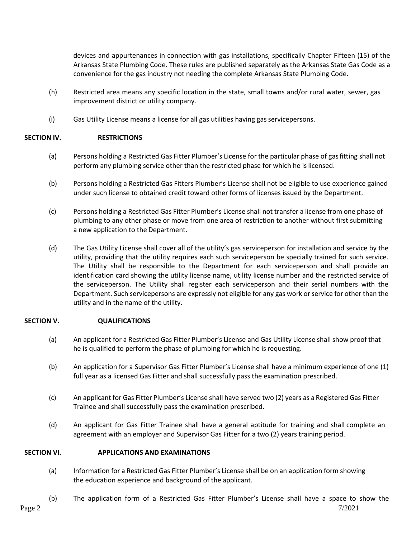devices and appurtenances in connection with gas installations, specifically Chapter Fifteen (15) of the Arkansas State Plumbing Code. These rules are published separately as the Arkansas State Gas Code as a convenience for the gas industry not needing the complete Arkansas State Plumbing Code.

- (h) Restricted area means any specific location in the state, small towns and/or rural water, sewer, gas improvement district or utility company.
- (i) Gas Utility License means a license for all gas utilities having gasservicepersons.

## **SECTION IV. RESTRICTIONS**

- (a) Persons holding a Restricted Gas Fitter Plumber's License for the particular phase of gasfitting shall not perform any plumbing service other than the restricted phase for which he islicensed.
- (b) Persons holding a Restricted Gas Fitters Plumber's License shall not be eligible to use experience gained under such license to obtained credit toward other forms of licenses issued by the Department.
- (c) Persons holding a Restricted Gas Fitter Plumber's License shall not transfer a license from one phase of plumbing to any other phase or move from one area of restriction to another without first submitting a new application to the Department.
- (d) The Gas Utility License shall cover all of the utility's gas serviceperson for installation and service by the utility, providing that the utility requires each such serviceperson be specially trained for such service. The Utility shall be responsible to the Department for each serviceperson and shall provide an identification card showing the utility license name, utility license number and the restricted service of the serviceperson. The Utility shall register each serviceperson and their serial numbers with the Department. Such servicepersons are expressly not eligible for any gas work or service for other than the utility and in the name of the utility.

## **SECTION V. QUALIFICATIONS**

- (a) An applicant for a Restricted Gas Fitter Plumber's License and Gas Utility License shall show proof that he is qualified to perform the phase of plumbing for which he is requesting.
- (b) An application for a Supervisor Gas Fitter Plumber's License shall have a minimum experience of one (1) full year as a licensed Gas Fitter and shall successfully pass the examination prescribed.
- (c) An applicant for Gas Fitter Plumber's License shall have served two (2) years as a Registered Gas Fitter Trainee and shall successfully pass the examination prescribed.
- (d) An applicant for Gas Fitter Trainee shall have a general aptitude for training and shall complete an agreement with an employer and Supervisor Gas Fitter for a two (2) years training period.

## **SECTION VI. APPLICATIONS AND EXAMINATIONS**

- (a) Information for a Restricted Gas Fitter Plumber's License shall be on an application form showing the education experience and background of the applicant.
- (b) The application form of a Restricted Gas Fitter Plumber's License shall have a space to show the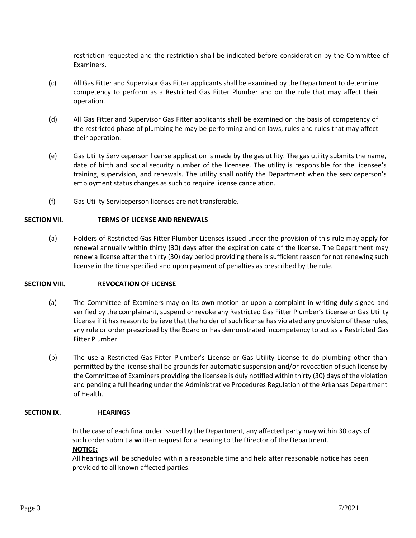restriction requested and the restriction shall be indicated before consideration by the Committee of Examiners.

- (c) All Gas Fitter and Supervisor Gas Fitter applicants shall be examined by the Department to determine competency to perform as a Restricted Gas Fitter Plumber and on the rule that may affect their operation.
- (d) All Gas Fitter and Supervisor Gas Fitter applicants shall be examined on the basis of competency of the restricted phase of plumbing he may be performing and on laws, rules and rules that may affect their operation.
- (e) Gas Utility Serviceperson license application is made by the gas utility. The gas utility submits the name, date of birth and social security number of the licensee. The utility is responsible for the licensee's training, supervision, and renewals. The utility shall notify the Department when the serviceperson's employment status changes as such to require license cancelation.
- (f) Gas Utility Serviceperson licenses are not transferable.

## **SECTION VII. TERMS OF LICENSE AND RENEWALS**

(a) Holders of Restricted Gas Fitter Plumber Licenses issued under the provision of this rule may apply for renewal annually within thirty (30) days after the expiration date of the license. The Department may renew a license after the thirty (30) day period providing there is sufficient reason for not renewing such license in the time specified and upon payment of penalties as prescribed by the rule.

## **SECTION VIII. REVOCATION OF LICENSE**

- (a) The Committee of Examiners may on its own motion or upon a complaint in writing duly signed and verified by the complainant, suspend or revoke any Restricted Gas Fitter Plumber's License or Gas Utility License if it has reason to believe that the holder of such license has violated any provision of these rules, any rule or order prescribed by the Board or has demonstrated incompetency to act as a Restricted Gas Fitter Plumber.
- (b) The use a Restricted Gas Fitter Plumber's License or Gas Utility License to do plumbing other than permitted by the license shall be grounds for automatic suspension and/or revocation of such license by the Committee of Examiners providing the licensee is duly notified within thirty (30) days of the violation and pending a full hearing under the Administrative Procedures Regulation of the Arkansas Department of Health.

## **SECTION IX. HEARINGS**

In the case of each final order issued by the Department, any affected party may within 30 days of such order submit a written request for a hearing to the Director of the Department. **NOTICE:**

All hearings will be scheduled within a reasonable time and held after reasonable notice has been provided to all known affected parties.